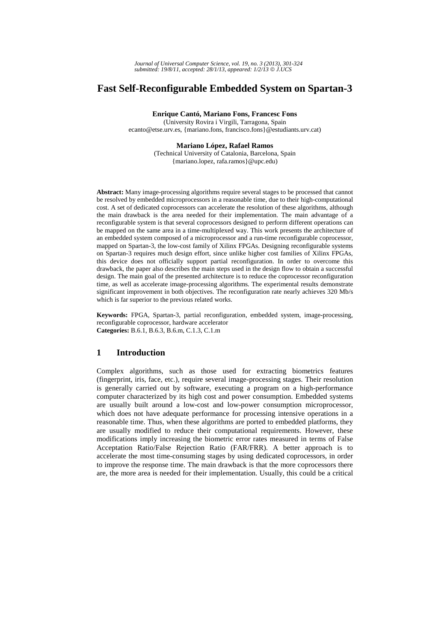# **Fast Self-Reconfigurable Embedded System on Spartan-3**

#### **Enrique Cantó, Mariano Fons, Francesc Fons**

(University Rovira i Virgili, Tarragona, Spain ecanto@etse.urv.es, {mariano.fons, francisco.fons}@estudiants.urv.cat)

#### **Mariano López, Rafael Ramos**

(Technical University of Catalonia, Barcelona, Spain {mariano.lopez, rafa.ramos}@upc.edu)

**Abstract:** Many image-processing algorithms require several stages to be processed that cannot be resolved by embedded microprocessors in a reasonable time, due to their high-computational cost. A set of dedicated coprocessors can accelerate the resolution of these algorithms, although the main drawback is the area needed for their implementation. The main advantage of a reconfigurable system is that several coprocessors designed to perform different operations can be mapped on the same area in a time-multiplexed way. This work presents the architecture of an embedded system composed of a microprocessor and a run-time reconfigurable coprocessor, mapped on Spartan-3, the low-cost family of Xilinx FPGAs. Designing reconfigurable systems on Spartan-3 requires much design effort, since unlike higher cost families of Xilinx FPGAs, this device does not officially support partial reconfiguration. In order to overcome this drawback, the paper also describes the main steps used in the design flow to obtain a successful design. The main goal of the presented architecture is to reduce the coprocessor reconfiguration time, as well as accelerate image-processing algorithms. The experimental results demonstrate significant improvement in both objectives. The reconfiguration rate nearly achieves 320 Mb/s which is far superior to the previous related works.

**Keywords:** FPGA, Spartan-3, partial reconfiguration, embedded system, image-processing, reconfigurable coprocessor, hardware accelerator **Categories:** B.6.1, B.6.3, B.6.m, C.1.3, C.1.m

### **1 Introduction**

Complex algorithms, such as those used for extracting biometrics features (fingerprint, iris, face, etc.), require several image-processing stages. Their resolution is generally carried out by software, executing a program on a high-performance computer characterized by its high cost and power consumption. Embedded systems are usually built around a low-cost and low-power consumption microprocessor, which does not have adequate performance for processing intensive operations in a reasonable time. Thus, when these algorithms are ported to embedded platforms, they are usually modified to reduce their computational requirements. However, these modifications imply increasing the biometric error rates measured in terms of False Acceptation Ratio/False Rejection Ratio (FAR/FRR). A better approach is to accelerate the most time-consuming stages by using dedicated coprocessors, in order to improve the response time. The main drawback is that the more coprocessors there are, the more area is needed for their implementation. Usually, this could be a critical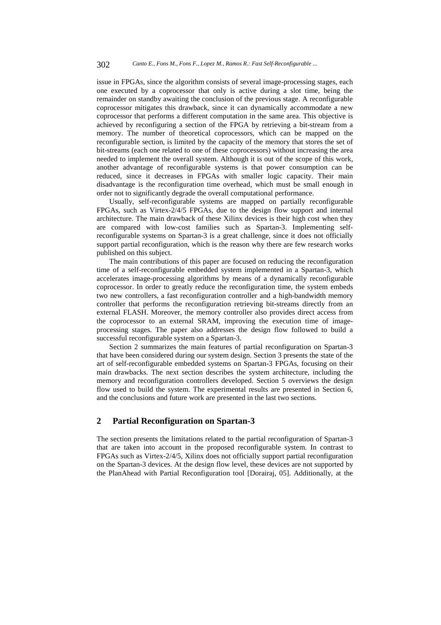issue in FPGAs, since the algorithm consists of several image-processing stages, each one executed by a coprocessor that only is active during a slot time, being the remainder on standby awaiting the conclusion of the previous stage. A reconfigurable coprocessor mitigates this drawback, since it can dynamically accommodate a new coprocessor that performs a different computation in the same area. This objective is achieved by reconfiguring a section of the FPGA by retrieving a bit-stream from a memory. The number of theoretical coprocessors, which can be mapped on the reconfigurable section, is limited by the capacity of the memory that stores the set of bit-streams (each one related to one of these coprocessors) without increasing the area needed to implement the overall system. Although it is out of the scope of this work, another advantage of reconfigurable systems is that power consumption can be reduced, since it decreases in FPGAs with smaller logic capacity. Their main disadvantage is the reconfiguration time overhead, which must be small enough in order not to significantly degrade the overall computational performance.

Usually, self-reconfigurable systems are mapped on partially reconfigurable FPGAs, such as Virtex-2/4/5 FPGAs, due to the design flow support and internal architecture. The main drawback of these Xilinx devices is their high cost when they are compared with low-cost families such as Spartan-3. Implementing selfreconfigurable systems on Spartan-3 is a great challenge, since it does not officially support partial reconfiguration, which is the reason why there are few research works published on this subject.

The main contributions of this paper are focused on reducing the reconfiguration time of a self-reconfigurable embedded system implemented in a Spartan-3, which accelerates image-processing algorithms by means of a dynamically reconfigurable coprocessor. In order to greatly reduce the reconfiguration time, the system embeds two new controllers, a fast reconfiguration controller and a high-bandwidth memory controller that performs the reconfiguration retrieving bit-streams directly from an external FLASH. Moreover, the memory controller also provides direct access from the coprocessor to an external SRAM, improving the execution time of imageprocessing stages. The paper also addresses the design flow followed to build a successful reconfigurable system on a Spartan-3.

Section 2 summarizes the main features of partial reconfiguration on Spartan-3 that have been considered during our system design. Section 3 presents the state of the art of self-reconfigurable embedded systems on Spartan-3 FPGAs, focusing on their main drawbacks. The next section describes the system architecture, including the memory and reconfiguration controllers developed. Section 5 overviews the design flow used to build the system. The experimental results are presented in Section 6, and the conclusions and future work are presented in the last two sections.

### **2 Partial Reconfiguration on Spartan-3**

The section presents the limitations related to the partial reconfiguration of Spartan-3 that are taken into account in the proposed reconfigurable system. In contrast to FPGAs such as Virtex-2/4/5, Xilinx does not officially support partial reconfiguration on the Spartan-3 devices. At the design flow level, these devices are not supported by the PlanAhead with Partial Reconfiguration tool [Dorairaj, 05]. Additionally, at the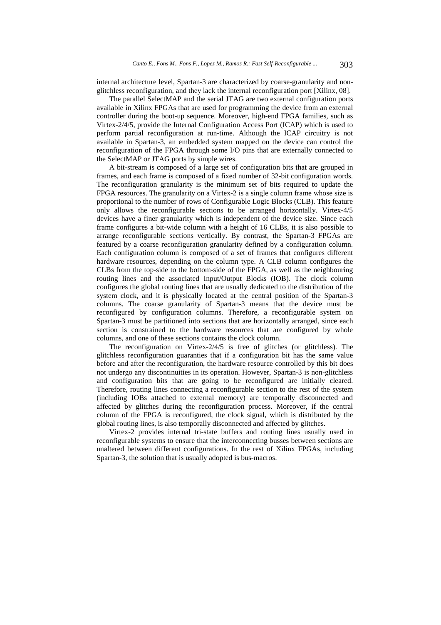internal architecture level, Spartan-3 are characterized by coarse-granularity and nonglitchless reconfiguration, and they lack the internal reconfiguration port [Xilinx, 08].

The parallel SelectMAP and the serial JTAG are two external configuration ports available in Xilinx FPGAs that are used for programming the device from an external controller during the boot-up sequence. Moreover, high-end FPGA families, such as Virtex-2/4/5, provide the Internal Configuration Access Port (ICAP) which is used to perform partial reconfiguration at run-time. Although the ICAP circuitry is not available in Spartan-3, an embedded system mapped on the device can control the reconfiguration of the FPGA through some I/O pins that are externally connected to the SelectMAP or JTAG ports by simple wires.

A bit-stream is composed of a large set of configuration bits that are grouped in frames, and each frame is composed of a fixed number of 32-bit configuration words. The reconfiguration granularity is the minimum set of bits required to update the FPGA resources. The granularity on a Virtex-2 is a single column frame whose size is proportional to the number of rows of Configurable Logic Blocks (CLB). This feature only allows the reconfigurable sections to be arranged horizontally. Virtex-4/5 devices have a finer granularity which is independent of the device size. Since each frame configures a bit-wide column with a height of 16 CLBs, it is also possible to arrange reconfigurable sections vertically. By contrast, the Spartan-3 FPGAs are featured by a coarse reconfiguration granularity defined by a configuration column. Each configuration column is composed of a set of frames that configures different hardware resources, depending on the column type. A CLB column configures the CLBs from the top-side to the bottom-side of the FPGA, as well as the neighbouring routing lines and the associated Input/Output Blocks (IOB). The clock column configures the global routing lines that are usually dedicated to the distribution of the system clock, and it is physically located at the central position of the Spartan-3 columns. The coarse granularity of Spartan-3 means that the device must be reconfigured by configuration columns. Therefore, a reconfigurable system on Spartan-3 must be partitioned into sections that are horizontally arranged, since each section is constrained to the hardware resources that are configured by whole columns, and one of these sections contains the clock column.

The reconfiguration on Virtex-2/4/5 is free of glitches (or glitchless). The glitchless reconfiguration guaranties that if a configuration bit has the same value before and after the reconfiguration, the hardware resource controlled by this bit does not undergo any discontinuities in its operation. However, Spartan-3 is non-glitchless and configuration bits that are going to be reconfigured are initially cleared. Therefore, routing lines connecting a reconfigurable section to the rest of the system (including IOBs attached to external memory) are temporally disconnected and affected by glitches during the reconfiguration process. Moreover, if the central column of the FPGA is reconfigured, the clock signal, which is distributed by the global routing lines, is also temporally disconnected and affected by glitches.

Virtex-2 provides internal tri-state buffers and routing lines usually used in reconfigurable systems to ensure that the interconnecting busses between sections are unaltered between different configurations. In the rest of Xilinx FPGAs, including Spartan-3, the solution that is usually adopted is bus-macros.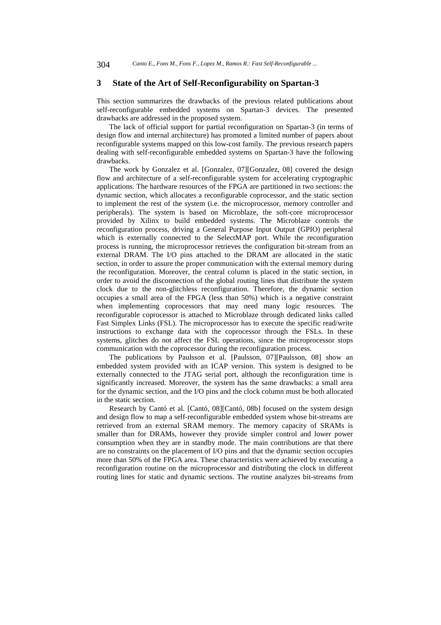#### **3 State of the Art of Self-Reconfigurability on Spartan-3**

This section summarizes the drawbacks of the previous related publications about self-reconfigurable embedded systems on Spartan-3 devices. The presented drawbacks are addressed in the proposed system.

The lack of official support for partial reconfiguration on Spartan-3 (in terms of design flow and internal architecture) has promoted a limited number of papers about reconfigurable systems mapped on this low-cost family. The previous research papers dealing with self-reconfigurable embedded systems on Spartan-3 have the following drawbacks.

The work by Gonzalez et al. [Gonzalez, 07][Gonzalez, 08] covered the design flow and architecture of a self-reconfigurable system for accelerating cryptographic applications. The hardware resources of the FPGA are partitioned in two sections: the dynamic section, which allocates a reconfigurable coprocessor, and the static section to implement the rest of the system (i.e. the microprocessor, memory controller and peripherals). The system is based on Microblaze, the soft-core microprocessor provided by Xilinx to build embedded systems. The Microblaze controls the reconfiguration process, driving a General Purpose Input Output (GPIO) peripheral which is externally connected to the SelectMAP port. While the reconfiguration process is running, the microprocessor retrieves the configuration bit-stream from an external DRAM. The I/O pins attached to the DRAM are allocated in the static section, in order to assure the proper communication with the external memory during the reconfiguration. Moreover, the central column is placed in the static section, in order to avoid the disconnection of the global routing lines that distribute the system clock due to the non-glitchless reconfiguration. Therefore, the dynamic section occupies a small area of the FPGA (less than 50%) which is a negative constraint when implementing coprocessors that may need many logic resources. The reconfigurable coprocessor is attached to Microblaze through dedicated links called Fast Simplex Links (FSL). The microprocessor has to execute the specific read/write instructions to exchange data with the coprocessor through the FSLs. In these systems, glitches do not affect the FSL operations, since the microprocessor stops communication with the coprocessor during the reconfiguration process.

The publications by Paulsson et al. [Paulsson, 07][Paulsson, 08] show an embedded system provided with an ICAP version. This system is designed to be externally connected to the JTAG serial port, although the reconfiguration time is significantly increased. Moreover, the system has the same drawbacks: a small area for the dynamic section, and the I/O pins and the clock column must be both allocated in the static section.

Research by Cantó et al. [Cantó, 08][Cantó, 08b] focused on the system design and design flow to map a self-reconfigurable embedded system whose bit-streams are retrieved from an external SRAM memory. The memory capacity of SRAMs is smaller than for DRAMs, however they provide simpler control and lower power consumption when they are in standby mode. The main contributions are that there are no constraints on the placement of I/O pins and that the dynamic section occupies more than 50% of the FPGA area. These characteristics were achieved by executing a reconfiguration routine on the microprocessor and distributing the clock in different routing lines for static and dynamic sections. The routine analyzes bit-streams from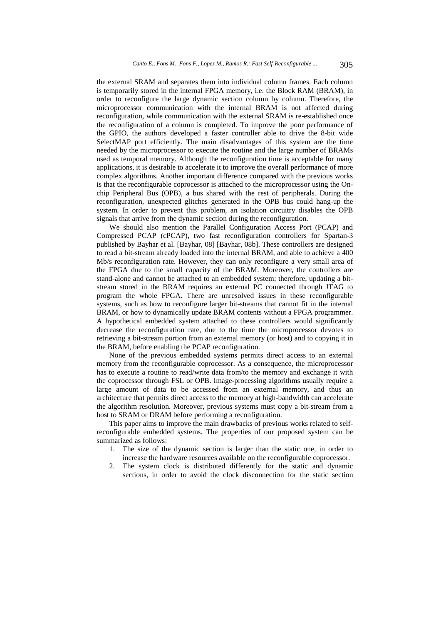the external SRAM and separates them into individual column frames. Each column is temporarily stored in the internal FPGA memory, i.e. the Block RAM (BRAM), in order to reconfigure the large dynamic section column by column. Therefore, the microprocessor communication with the internal BRAM is not affected during reconfiguration, while communication with the external SRAM is re-established once the reconfiguration of a column is completed. To improve the poor performance of the GPIO, the authors developed a faster controller able to drive the 8-bit wide SelectMAP port efficiently. The main disadvantages of this system are the time needed by the microprocessor to execute the routine and the large number of BRAMs used as temporal memory. Although the reconfiguration time is acceptable for many applications, it is desirable to accelerate it to improve the overall performance of more complex algorithms. Another important difference compared with the previous works is that the reconfigurable coprocessor is attached to the microprocessor using the Onchip Peripheral Bus (OPB), a bus shared with the rest of peripherals. During the reconfiguration, unexpected glitches generated in the OPB bus could hang-up the system. In order to prevent this problem, an isolation circuitry disables the OPB signals that arrive from the dynamic section during the reconfiguration.

We should also mention the Parallel Configuration Access Port (PCAP) and Compressed PCAP (cPCAP), two fast reconfiguration controllers for Spartan-3 published by Bayhar et al. [Bayhar, 08] [Bayhar, 08b]. These controllers are designed to read a bit-stream already loaded into the internal BRAM, and able to achieve a 400 Mb/s reconfiguration rate. However, they can only reconfigure a very small area of the FPGA due to the small capacity of the BRAM. Moreover, the controllers are stand-alone and cannot be attached to an embedded system; therefore, updating a bitstream stored in the BRAM requires an external PC connected through JTAG to program the whole FPGA. There are unresolved issues in these reconfigurable systems, such as how to reconfigure larger bit-streams that cannot fit in the internal BRAM, or how to dynamically update BRAM contents without a FPGA programmer. A hypothetical embedded system attached to these controllers would significantly decrease the reconfiguration rate, due to the time the microprocessor devotes to retrieving a bit-stream portion from an external memory (or host) and to copying it in the BRAM, before enabling the PCAP reconfiguration.

None of the previous embedded systems permits direct access to an external memory from the reconfigurable coprocessor. As a consequence, the microprocessor has to execute a routine to read/write data from/to the memory and exchange it with the coprocessor through FSL or OPB. Image-processing algorithms usually require a large amount of data to be accessed from an external memory, and thus an architecture that permits direct access to the memory at high-bandwidth can accelerate the algorithm resolution. Moreover, previous systems must copy a bit-stream from a host to SRAM or DRAM before performing a reconfiguration.

This paper aims to improve the main drawbacks of previous works related to selfreconfigurable embedded systems. The properties of our proposed system can be summarized as follows:

- 1. The size of the dynamic section is larger than the static one, in order to increase the hardware resources available on the reconfigurable coprocessor.
- 2. The system clock is distributed differently for the static and dynamic sections, in order to avoid the clock disconnection for the static section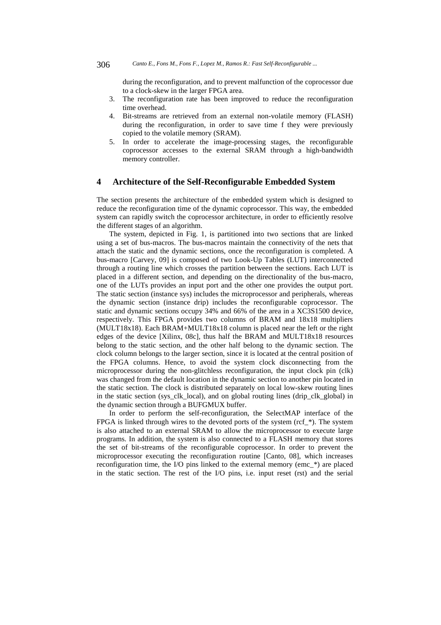during the reconfiguration, and to prevent malfunction of the coprocessor due to a clock-skew in the larger FPGA area.

- 3. The reconfiguration rate has been improved to reduce the reconfiguration time overhead.
- 4. Bit-streams are retrieved from an external non-volatile memory (FLASH) during the reconfiguration, in order to save time f they were previously copied to the volatile memory (SRAM).
- 5. In order to accelerate the image-processing stages, the reconfigurable coprocessor accesses to the external SRAM through a high-bandwidth memory controller.

### **4 Architecture of the Self-Reconfigurable Embedded System**

The section presents the architecture of the embedded system which is designed to reduce the reconfiguration time of the dynamic coprocessor. This way, the embedded system can rapidly switch the coprocessor architecture, in order to efficiently resolve the different stages of an algorithm.

The system, depicted in Fig. 1, is partitioned into two sections that are linked using a set of bus-macros. The bus-macros maintain the connectivity of the nets that attach the static and the dynamic sections, once the reconfiguration is completed. A bus-macro [Carvey, 09] is composed of two Look-Up Tables (LUT) interconnected through a routing line which crosses the partition between the sections. Each LUT is placed in a different section, and depending on the directionality of the bus-macro, one of the LUTs provides an input port and the other one provides the output port. The static section (instance sys) includes the microprocessor and peripherals, whereas the dynamic section (instance drip) includes the reconfigurable coprocessor. The static and dynamic sections occupy 34% and 66% of the area in a XC3S1500 device, respectively. This FPGA provides two columns of BRAM and 18x18 multipliers (MULT18x18). Each BRAM+MULT18x18 column is placed near the left or the right edges of the device [Xilinx, 08c], thus half the BRAM and MULT18x18 resources belong to the static section, and the other half belong to the dynamic section. The clock column belongs to the larger section, since it is located at the central position of the FPGA columns. Hence, to avoid the system clock disconnecting from the microprocessor during the non-glitchless reconfiguration, the input clock pin (clk) was changed from the default location in the dynamic section to another pin located in the static section. The clock is distributed separately on local low-skew routing lines in the static section (sys\_clk\_local), and on global routing lines (drip\_clk\_global) in the dynamic section through a BUFGMUX buffer.

In order to perform the self-reconfiguration, the SelectMAP interface of the FPGA is linked through wires to the devoted ports of the system (rcf\_\*). The system is also attached to an external SRAM to allow the microprocessor to execute large programs. In addition, the system is also connected to a FLASH memory that stores the set of bit-streams of the reconfigurable coprocessor. In order to prevent the microprocessor executing the reconfiguration routine [Canto, 08], which increases reconfiguration time, the I/O pins linked to the external memory (emc\_\*) are placed in the static section. The rest of the I/O pins, i.e. input reset (rst) and the serial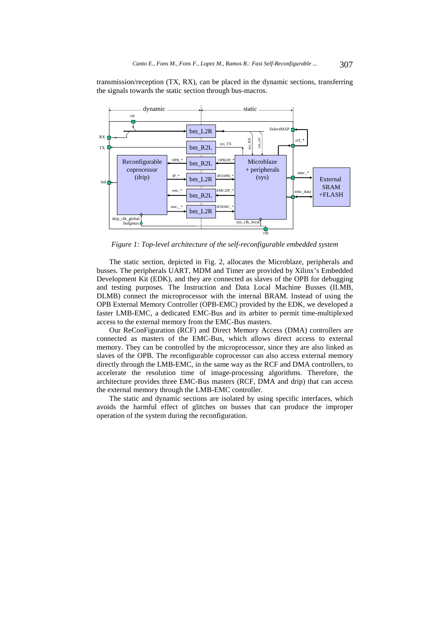transmission/reception (TX, RX), can be placed in the dynamic sections, transferring the signals towards the static section through bus-macros.



*Figure 1: Top-level architecture of the self-reconfigurable embedded system* 

The static section, depicted in Fig. 2, allocates the Microblaze, peripherals and busses. The peripherals UART, MDM and Timer are provided by Xilinx's Embedded Development Kit (EDK), and they are connected as slaves of the OPB for debugging and testing purposes. The Instruction and Data Local Machine Busses (ILMB, DLMB) connect the microprocessor with the internal BRAM. Instead of using the OPB External Memory Controller (OPB-EMC) provided by the EDK, we developed a faster LMB-EMC, a dedicated EMC-Bus and its arbiter to permit time-multiplexed access to the external memory from the EMC-Bus masters.

Our ReConFiguration (RCF) and Direct Memory Access (DMA) controllers are connected as masters of the EMC-Bus, which allows direct access to external memory. They can be controlled by the microprocessor, since they are also linked as slaves of the OPB. The reconfigurable coprocessor can also access external memory directly through the LMB-EMC, in the same way as the RCF and DMA controllers, to accelerate the resolution time of image-processing algorithms. Therefore, the architecture provides three EMC-Bus masters (RCF, DMA and drip) that can access the external memory through the LMB-EMC controller.

The static and dynamic sections are isolated by using specific interfaces, which avoids the harmful effect of glitches on busses that can produce the improper operation of the system during the reconfiguration.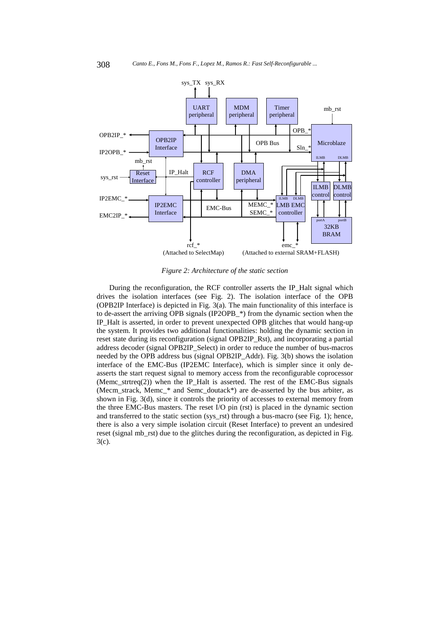

*Figure 2: Architecture of the static section* 

During the reconfiguration, the RCF controller asserts the IP\_Halt signal which drives the isolation interfaces (see Fig. 2). The isolation interface of the OPB (OPB2IP Interface) is depicted in Fig. 3(a). The main functionality of this interface is to de-assert the arriving OPB signals (IP2OPB\_\*) from the dynamic section when the IP\_Halt is asserted, in order to prevent unexpected OPB glitches that would hang-up the system. It provides two additional functionalities: holding the dynamic section in reset state during its reconfiguration (signal OPB2IP\_Rst), and incorporating a partial address decoder (signal OPB2IP\_Select) in order to reduce the number of bus-macros needed by the OPB address bus (signal OPB2IP\_Addr). Fig. 3(b) shows the isolation interface of the EMC-Bus (IP2EMC Interface), which is simpler since it only deasserts the start request signal to memory access from the reconfigurable coprocessor (Memc\_strtreq(2)) when the IP\_Halt is asserted. The rest of the EMC-Bus signals (Mecm\_strack, Memc\_\* and Semc\_doutack\*) are de-asserted by the bus arbiter, as shown in Fig. 3(d), since it controls the priority of accesses to external memory from the three EMC-Bus masters. The reset I/O pin (rst) is placed in the dynamic section and transferred to the static section (sys\_rst) through a bus-macro (see Fig. 1); hence, there is also a very simple isolation circuit (Reset Interface) to prevent an undesired reset (signal mb\_rst) due to the glitches during the reconfiguration, as depicted in Fig. 3(c).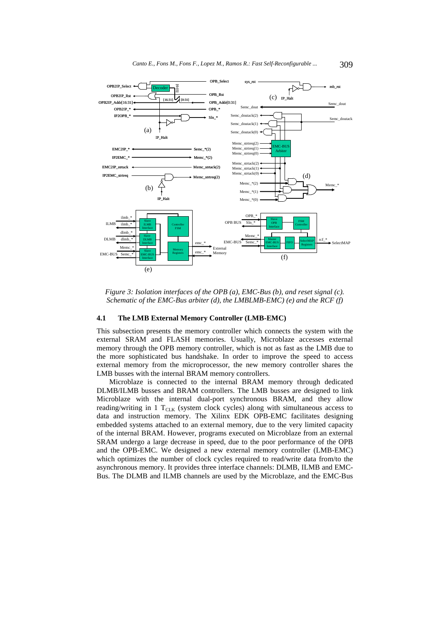

*Figure 3: Isolation interfaces of the OPB (a), EMC-Bus (b), and reset signal (c). Schematic of the EMC-Bus arbiter (d), the LMBLMB-EMC) (e) and the RCF (f)* 

#### **4.1 The LMB External Memory Controller (LMB-EMC)**

This subsection presents the memory controller which connects the system with the external SRAM and FLASH memories. Usually, Microblaze accesses external memory through the OPB memory controller, which is not as fast as the LMB due to the more sophisticated bus handshake. In order to improve the speed to access external memory from the microprocessor, the new memory controller shares the LMB busses with the internal BRAM memory controllers.

Microblaze is connected to the internal BRAM memory through dedicated DLMB/ILMB busses and BRAM controllers. The LMB busses are designed to link Microblaze with the internal dual-port synchronous BRAM, and they allow reading/writing in 1  $T_{\text{CLK}}$  (system clock cycles) along with simultaneous access to data and instruction memory. The Xilinx EDK OPB-EMC facilitates designing embedded systems attached to an external memory, due to the very limited capacity of the internal BRAM. However, programs executed on Microblaze from an external SRAM undergo a large decrease in speed, due to the poor performance of the OPB and the OPB-EMC. We designed a new external memory controller (LMB-EMC) which optimizes the number of clock cycles required to read/write data from/to the asynchronous memory. It provides three interface channels: DLMB, ILMB and EMC-Bus. The DLMB and ILMB channels are used by the Microblaze, and the EMC-Bus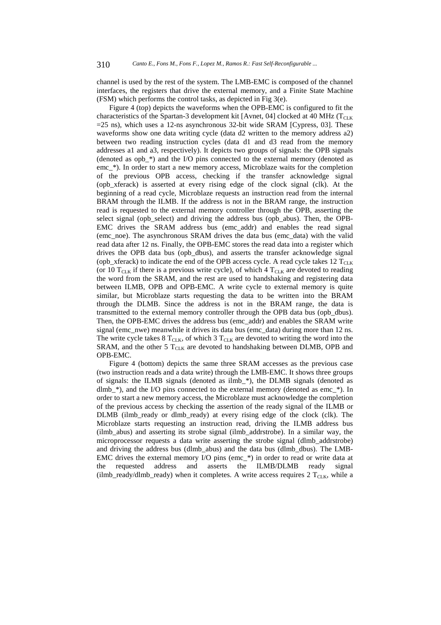channel is used by the rest of the system. The LMB-EMC is composed of the channel interfaces, the registers that drive the external memory, and a Finite State Machine (FSM) which performs the control tasks, as depicted in Fig 3(e).

Figure 4 (top) depicts the waveforms when the OPB-EMC is configured to fit the characteristics of the Spartan-3 development kit [Avnet, 04] clocked at 40 MHz ( $T_{C-K}$  $=$  25 ns), which uses a 12-ns asynchronous 32-bit wide SRAM [Cypress, 03]. These waveforms show one data writing cycle (data d2 written to the memory address a2) between two reading instruction cycles (data d1 and d3 read from the memory addresses a1 and a3, respectively). It depicts two groups of signals: the OPB signals (denoted as opb\_\*) and the I/O pins connected to the external memory (denoted as emc\_\*). In order to start a new memory access, Microblaze waits for the completion of the previous OPB access, checking if the transfer acknowledge signal (opb\_xferack) is asserted at every rising edge of the clock signal (clk). At the beginning of a read cycle, Microblaze requests an instruction read from the internal BRAM through the ILMB. If the address is not in the BRAM range, the instruction read is requested to the external memory controller through the OPB, asserting the select signal (opb\_select) and driving the address bus (opb\_abus). Then, the OPB-EMC drives the SRAM address bus (emc\_addr) and enables the read signal (emc\_noe). The asynchronous SRAM drives the data bus (emc\_data) with the valid read data after 12 ns. Finally, the OPB-EMC stores the read data into a register which drives the OPB data bus (opb\_dbus), and asserts the transfer acknowledge signal (opb\_xferack) to indicate the end of the OPB access cycle. A read cycle takes  $12 T_{CLK}$ (or 10  $T_{CLK}$  if there is a previous write cycle), of which 4  $T_{CLK}$  are devoted to reading the word from the SRAM, and the rest are used to handshaking and registering data between ILMB, OPB and OPB-EMC. A write cycle to external memory is quite similar, but Microblaze starts requesting the data to be written into the BRAM through the DLMB. Since the address is not in the BRAM range, the data is transmitted to the external memory controller through the OPB data bus (opb\_dbus). Then, the OPB-EMC drives the address bus (emc\_addr) and enables the SRAM write signal (emc\_nwe) meanwhile it drives its data bus (emc\_data) during more than 12 ns. The write cycle takes  $8 \text{ T}_{CLK}$ , of which  $3 \text{ T}_{CLK}$  are devoted to writing the word into the SRAM, and the other 5  $T_{CLK}$  are devoted to handshaking between DLMB, OPB and OPB-EMC.

Figure 4 (bottom) depicts the same three SRAM accesses as the previous case (two instruction reads and a data write) through the LMB-EMC. It shows three groups of signals: the ILMB signals (denoted as ilmb\_\*), the DLMB signals (denoted as dlmb<sup>\*</sup>), and the I/O pins connected to the external memory (denoted as emc<sup>\*</sup>). In order to start a new memory access, the Microblaze must acknowledge the completion of the previous access by checking the assertion of the ready signal of the ILMB or DLMB (ilmb\_ready or dlmb\_ready) at every rising edge of the clock (clk). The Microblaze starts requesting an instruction read, driving the ILMB address bus (ilmb\_abus) and asserting its strobe signal (ilmb\_addrstrobe). In a similar way, the microprocessor requests a data write asserting the strobe signal (dlmb\_addrstrobe) and driving the address bus (dlmb\_abus) and the data bus (dlmb\_dbus). The LMB-EMC drives the external memory I/O pins (emc\_\*) in order to read or write data at the requested address and asserts the ILMB/DLMB ready signal (ilmb\_ready/dlmb\_ready) when it completes. A write access requires  $2 T<sub>CLK</sub>$ , while a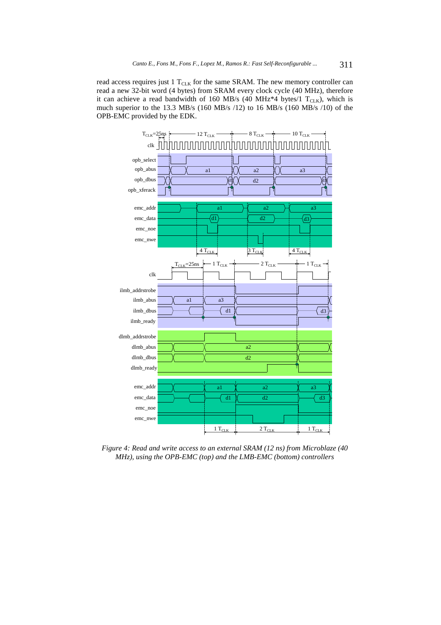read access requires just  $1 T_{CLK}$  for the same SRAM. The new memory controller can read a new 32-bit word (4 bytes) from SRAM every clock cycle (40 MHz), therefore it can achieve a read bandwidth of 160 MB/s (40 MHz\*4 bytes/1  $T_{CLK}$ ), which is much superior to the 13.3 MB/s (160 MB/s /12) to 16 MB/s (160 MB/s /10) of the OPB-EMC provided by the EDK.



*Figure 4: Read and write access to an external SRAM (12 ns) from Microblaze (40 MHz), using the OPB-EMC (top) and the LMB-EMC (bottom) controllers*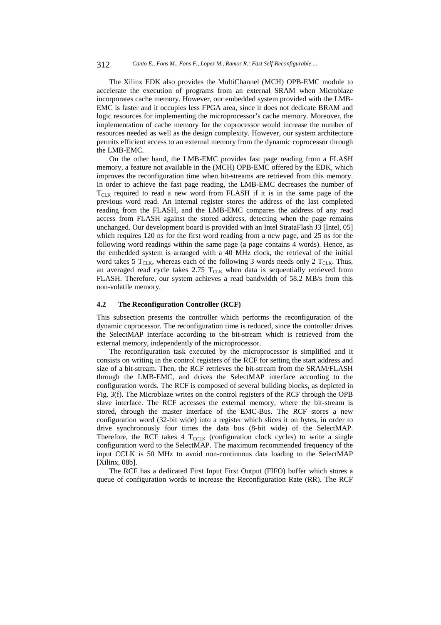The Xilinx EDK also provides the MultiChannel (MCH) OPB-EMC module to accelerate the execution of programs from an external SRAM when Microblaze incorporates cache memory. However, our embedded system provided with the LMB-EMC is faster and it occupies less FPGA area, since it does not dedicate BRAM and logic resources for implementing the microprocessor's cache memory. Moreover, the implementation of cache memory for the coprocessor would increase the number of resources needed as well as the design complexity. However, our system architecture permits efficient access to an external memory from the dynamic coprocessor through the LMB-EMC.

On the other hand, the LMB-EMC provides fast page reading from a FLASH memory, a feature not available in the (MCH) OPB-EMC offered by the EDK, which improves the reconfiguration time when bit-streams are retrieved from this memory. In order to achieve the fast page reading, the LMB-EMC decreases the number of  $T<sub>CK</sub>$  required to read a new word from FLASH if it is in the same page of the previous word read. An internal register stores the address of the last completed reading from the FLASH, and the LMB-EMC compares the address of any read access from FLASH against the stored address, detecting when the page remains unchanged. Our development board is provided with an Intel StrataFlash J3 [Intel, 05] which requires 120 ns for the first word reading from a new page, and 25 ns for the following word readings within the same page (a page contains 4 words). Hence, as the embedded system is arranged with a 40 MHz clock, the retrieval of the initial word takes 5  $T_{CLK}$ , whereas each of the following 3 words needs only 2  $T_{CLK}$ . Thus, an averaged read cycle takes  $2.75$  T<sub>CLK</sub> when data is sequentially retrieved from FLASH. Therefore, our system achieves a read bandwidth of 58.2 MB/s from this non-volatile memory.

#### **4.2 The Reconfiguration Controller (RCF)**

This subsection presents the controller which performs the reconfiguration of the dynamic coprocessor. The reconfiguration time is reduced, since the controller drives the SelectMAP interface according to the bit-stream which is retrieved from the external memory, independently of the microprocessor.

The reconfiguration task executed by the microprocessor is simplified and it consists on writing in the control registers of the RCF for setting the start address and size of a bit-stream. Then, the RCF retrieves the bit-stream from the SRAM/FLASH through the LMB-EMC, and drives the SelectMAP interface according to the configuration words. The RCF is composed of several building blocks, as depicted in Fig. 3(f). The Microblaze writes on the control registers of the RCF through the OPB slave interface. The RCF accesses the external memory, where the bit-stream is stored, through the master interface of the EMC-Bus. The RCF stores a new configuration word (32-bit wide) into a register which slices it on bytes, in order to drive synchronously four times the data bus (8-bit wide) of the SelectMAP. Therefore, the RCF takes 4  $T_{CCLK}$  (configuration clock cycles) to write a single configuration word to the SelectMAP. The maximum recommended frequency of the input CCLK is 50 MHz to avoid non-continuous data loading to the SelectMAP [Xilinx, 08b].

The RCF has a dedicated First Input First Output (FIFO) buffer which stores a queue of configuration words to increase the Reconfiguration Rate (RR). The RCF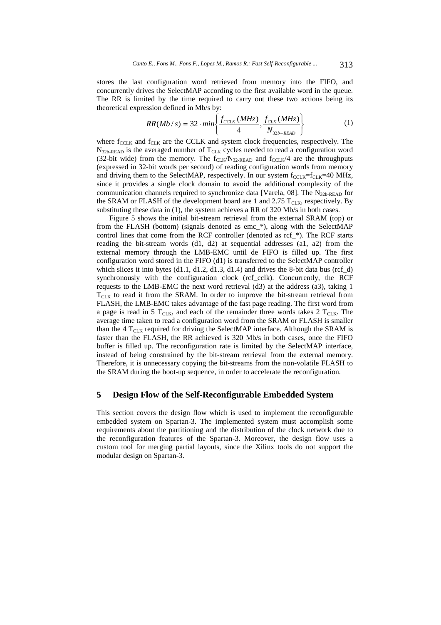stores the last configuration word retrieved from memory into the FIFO, and concurrently drives the SelectMAP according to the first available word in the queue. The RR is limited by the time required to carry out these two actions being its theoretical expression defined in Mb/s by:

$$
RR(Mb/s) = 32 \cdot min\left\{\frac{f_{CCLK}(MHz)}{4}, \frac{f_{CLK}(MHz)}{N_{32b-READ}}\right\}
$$
(1)

where  $f_{\text{CCLK}}$  and  $f_{\text{CLK}}$  are the CCLK and system clock frequencies, respectively. The  $N_{32b\text{-READ}}$  is the averaged number of  $T_{CLK}$  cycles needed to read a configuration word (32-bit wide) from the memory. The  $f_{CLK}/N_{32\text{-READ}}$  and  $f_{CCLK}/4$  are the throughputs (expressed in 32-bit words per second) of reading configuration words from memory and driving them to the SelectMAP, respectively. In our system  $f_{\text{CCLK}}=f_{\text{CLK}}=40 \text{ MHz}$ , since it provides a single clock domain to avoid the additional complexity of the communication channels required to synchronize data [Varela, 08]. The  $N_{32b-READ}$  for the SRAM or FLASH of the development board are 1 and 2.75  $T_{CLK}$ , respectively. By substituting these data in (1), the system achieves a RR of 320 Mb/s in both cases.

Figure 5 shows the initial bit-stream retrieval from the external SRAM (top) or from the FLASH (bottom) (signals denoted as emc\_\*), along with the SelectMAP control lines that come from the RCF controller (denoted as rcf\_\*). The RCF starts reading the bit-stream words (d1, d2) at sequential addresses (a1, a2) from the external memory through the LMB-EMC until de FIFO is filled up. The first configuration word stored in the FIFO (d1) is transferred to the SelectMAP controller which slices it into bytes  $(d1.1, d1.2, d1.3, d1.4)$  and drives the 8-bit data bus  $(rcf_d)$ synchronously with the configuration clock (rcf\_cclk). Concurrently, the RCF requests to the LMB-EMC the next word retrieval (d3) at the address (a3), taking 1  $T_{CLK}$  to read it from the SRAM. In order to improve the bit-stream retrieval from FLASH, the LMB-EMC takes advantage of the fast page reading. The first word from a page is read in 5  $T_{\text{CLK}}$ , and each of the remainder three words takes 2  $T_{\text{CLK}}$ . The average time taken to read a configuration word from the SRAM or FLASH is smaller than the 4  $T_{C-K}$  required for driving the SelectMAP interface. Although the SRAM is faster than the FLASH, the RR achieved is 320 Mb/s in both cases, once the FIFO buffer is filled up. The reconfiguration rate is limited by the SelectMAP interface, instead of being constrained by the bit-stream retrieval from the external memory. Therefore, it is unnecessary copying the bit-streams from the non-volatile FLASH to the SRAM during the boot-up sequence, in order to accelerate the reconfiguration.

### **5 Design Flow of the Self-Reconfigurable Embedded System**

This section covers the design flow which is used to implement the reconfigurable embedded system on Spartan-3. The implemented system must accomplish some requirements about the partitioning and the distribution of the clock network due to the reconfiguration features of the Spartan-3. Moreover, the design flow uses a custom tool for merging partial layouts, since the Xilinx tools do not support the modular design on Spartan-3.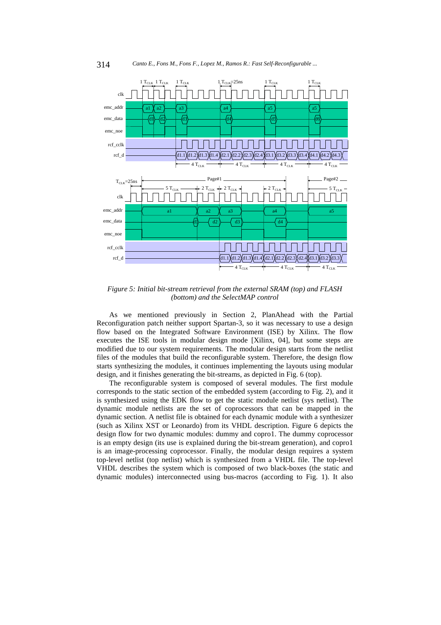

*Figure 5: Initial bit-stream retrieval from the external SRAM (top) and FLASH (bottom) and the SelectMAP control* 

As we mentioned previously in Section 2, PlanAhead with the Partial Reconfiguration patch neither support Spartan-3, so it was necessary to use a design flow based on the Integrated Software Environment (ISE) by Xilinx. The flow executes the ISE tools in modular design mode [Xilinx, 04], but some steps are modified due to our system requirements. The modular design starts from the netlist files of the modules that build the reconfigurable system. Therefore, the design flow starts synthesizing the modules, it continues implementing the layouts using modular design, and it finishes generating the bit-streams, as depicted in Fig. 6 (top).

The reconfigurable system is composed of several modules. The first module corresponds to the static section of the embedded system (according to Fig. 2), and it is synthesized using the EDK flow to get the static module netlist (sys netlist). The dynamic module netlists are the set of coprocessors that can be mapped in the dynamic section. A netlist file is obtained for each dynamic module with a synthesizer (such as Xilinx XST or Leonardo) from its VHDL description. Figure 6 depicts the design flow for two dynamic modules: dummy and copro1. The dummy coprocessor is an empty design (its use is explained during the bit-stream generation), and copro1 is an image-processing coprocessor. Finally, the modular design requires a system top-level netlist (top netlist) which is synthesized from a VHDL file. The top-level VHDL describes the system which is composed of two black-boxes (the static and dynamic modules) interconnected using bus-macros (according to Fig. 1). It also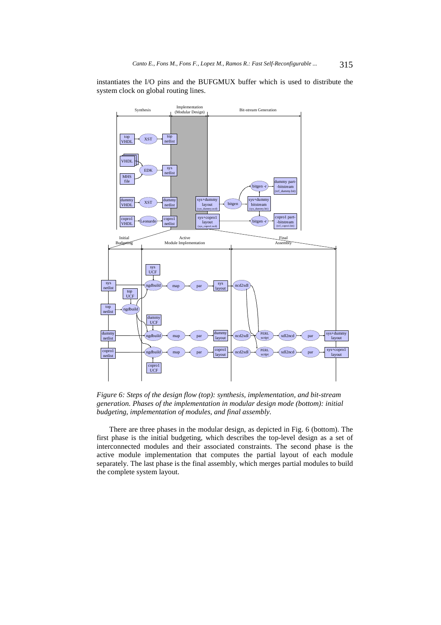instantiates the I/O pins and the BUFGMUX buffer which is used to distribute the system clock on global routing lines.



*Figure 6: Steps of the design flow (top): synthesis, implementation, and bit-stream generation. Phases of the implementation in modular design mode (bottom): initial budgeting, implementation of modules, and final assembly.* 

There are three phases in the modular design, as depicted in Fig. 6 (bottom). The first phase is the initial budgeting, which describes the top-level design as a set of interconnected modules and their associated constraints. The second phase is the active module implementation that computes the partial layout of each module separately. The last phase is the final assembly, which merges partial modules to build the complete system layout.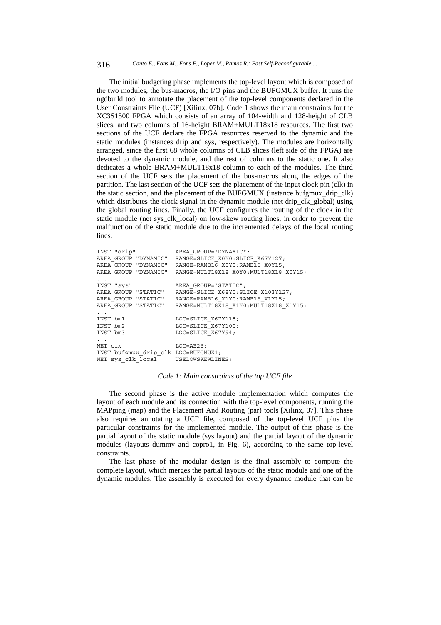The initial budgeting phase implements the top-level layout which is composed of the two modules, the bus-macros, the I/O pins and the BUFGMUX buffer. It runs the ngdbuild tool to annotate the placement of the top-level components declared in the User Constraints File (UCF) [Xilinx, 07b]. Code 1 shows the main constraints for the XC3S1500 FPGA which consists of an array of 104-width and 128-height of CLB slices, and two columns of 16-height BRAM+MULT18x18 resources. The first two sections of the UCF declare the FPGA resources reserved to the dynamic and the static modules (instances drip and sys, respectively). The modules are horizontally arranged, since the first 68 whole columns of CLB slices (left side of the FPGA) are devoted to the dynamic module, and the rest of columns to the static one. It also dedicates a whole BRAM+MULT18x18 column to each of the modules. The third section of the UCF sets the placement of the bus-macros along the edges of the partition. The last section of the UCF sets the placement of the input clock pin (clk) in the static section, and the placement of the BUFGMUX (instance bufgmux\_drip\_clk) which distributes the clock signal in the dynamic module (net drip clk global) using the global routing lines. Finally, the UCF configures the routing of the clock in the static module (net sys\_clk\_local) on low-skew routing lines, in order to prevent the malfunction of the static module due to the incremented delays of the local routing lines.

```
INST "drip" AREA_GROUP="DYNAMIC"; 
AREA_GROUP "DYNAMIC" RANGE=SLICE_X0Y0:SLICE_X67Y127; 
                     RANGE = RAMB16X0Y0:RAMB16X0Y15;AREA_GROUP "DYNAMIC" RANGE=MULT18X18_X0Y0:MULT18X18_X0Y15; 
... 
INST "sys" AREA_GROUP="STATIC"; 
AREA_GROUP "STATIC" RANGE=SLICE_X68Y0:SLICE_X103Y127;<br>AREA_GROUP "STATIC" RANGE=RAMB16 X1Y0:RAMB16 X1Y15:
                     RANGE=RAMB16X1Y0 \cdot RAMB16X1Y15AREA GROUP "STATIC" RANGE=MULT18X18 X1Y0:MULT18X18 X1Y15;
... 
INST bm1 LOC=SLICE X67Y118;
INST bm2 LOC=SLICE X67Y100;
INST bm3 LOC=SLICE_X67Y94;
... 
NET clk LOC=AB26;
INST bufgmux_drip_clk LOC=BUFGMUX1; 
NET sys_clk_local USELOWSKEWLINES;
```
*Code 1: Main constraints of the top UCF file* 

The second phase is the active module implementation which computes the layout of each module and its connection with the top-level components, running the MAPping (map) and the Placement And Routing (par) tools [Xilinx, 07]. This phase also requires annotating a UCF file, composed of the top-level UCF plus the particular constraints for the implemented module. The output of this phase is the partial layout of the static module (sys layout) and the partial layout of the dynamic modules (layouts dummy and copro1, in Fig. 6), according to the same top-level constraints.

The last phase of the modular design is the final assembly to compute the complete layout, which merges the partial layouts of the static module and one of the dynamic modules. The assembly is executed for every dynamic module that can be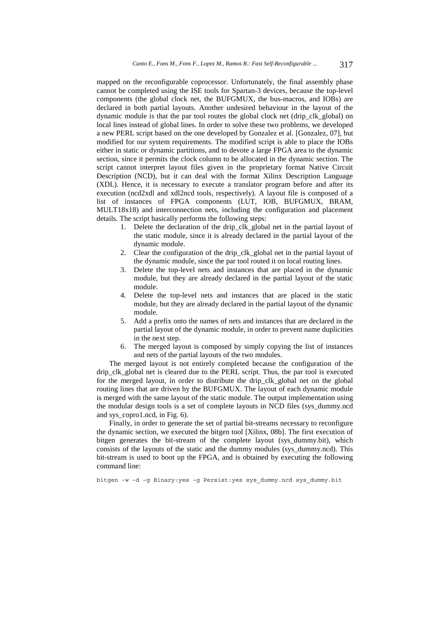mapped on the reconfigurable coprocessor. Unfortunately, the final assembly phase cannot be completed using the ISE tools for Spartan-3 devices, because the top-level components (the global clock net, the BUFGMUX, the bus-macros, and IOBs) are declared in both partial layouts. Another undesired behaviour in the layout of the dynamic module is that the par tool routes the global clock net (drip\_clk\_global) on local lines instead of global lines. In order to solve these two problems, we developed a new PERL script based on the one developed by Gonzalez et al. [Gonzalez, 07], but modified for our system requirements. The modified script is able to place the IOBs either in static or dynamic partitions, and to devote a large FPGA area to the dynamic section, since it permits the clock column to be allocated in the dynamic section. The script cannot interpret layout files given in the proprietary format Native Circuit Description (NCD), but it can deal with the format Xilinx Description Language (XDL). Hence, it is necessary to execute a translator program before and after its execution (ncd2xdl and xdl2ncd tools, respectively). A layout file is composed of a list of instances of FPGA components (LUT, IOB, BUFGMUX, BRAM, MULT18x18) and interconnection nets, including the configuration and placement details. The script basically performs the following steps:

- 1. Delete the declaration of the drip\_clk\_global net in the partial layout of the static module, since it is already declared in the partial layout of the dynamic module.
- 2. Clear the configuration of the drip\_clk\_global net in the partial layout of the dynamic module, since the par tool routed it on local routing lines.
- 3. Delete the top-level nets and instances that are placed in the dynamic module, but they are already declared in the partial layout of the static module.
- 4. Delete the top-level nets and instances that are placed in the static module, but they are already declared in the partial layout of the dynamic module.
- 5. Add a prefix onto the names of nets and instances that are declared in the partial layout of the dynamic module, in order to prevent name duplicities in the next step.
- 6. The merged layout is composed by simply copying the list of instances and nets of the partial layouts of the two modules.

The merged layout is not entirely completed because the configuration of the drip\_clk\_global net is cleared due to the PERL script. Thus, the par tool is executed for the merged layout, in order to distribute the drip\_clk\_global net on the global routing lines that are driven by the BUFGMUX. The layout of each dynamic module is merged with the same layout of the static module. The output implementation using the modular design tools is a set of complete layouts in NCD files (sys\_dummy.ncd and sys\_copro1.ncd, in Fig. 6).

Finally, in order to generate the set of partial bit-streams necessary to reconfigure the dynamic section, we executed the bitgen tool [Xilinx, 08b]. The first execution of bitgen generates the bit-stream of the complete layout (sys\_dummy.bit), which consists of the layouts of the static and the dummy modules (sys\_dummy.ncd). This bit-stream is used to boot up the FPGA, and is obtained by executing the following command line:

bitgen -w –d –g Binary:yes –g Persist:yes sys\_dummy.ncd sys\_dummy.bit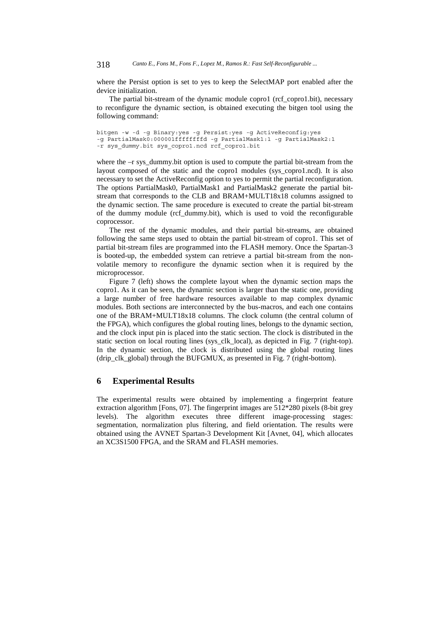where the Persist option is set to yes to keep the SelectMAP port enabled after the device initialization.

The partial bit-stream of the dynamic module copro1 (rcf\_copro1.bit), necessary to reconfigure the dynamic section, is obtained executing the bitgen tool using the following command:

```
bitgen -w -d -g Binary:yes -g Persist:yes -g ActiveReconfig:yes 
-g PartialMask0:000001ffffffffd -g PartialMask1:1 -g PartialMask2:1 
-r sys_dummy.bit sys_copro1.ncd rcf_copro1.bit
```
where the  $-r$  sys dummy.bit option is used to compute the partial bit-stream from the layout composed of the static and the copro1 modules (sys\_copro1.ncd). It is also necessary to set the ActiveReconfig option to yes to permit the partial reconfiguration. The options PartialMask0, PartialMask1 and PartialMask2 generate the partial bitstream that corresponds to the CLB and BRAM+MULT18x18 columns assigned to the dynamic section. The same procedure is executed to create the partial bit-stream of the dummy module (rcf\_dummy.bit), which is used to void the reconfigurable coprocessor.

The rest of the dynamic modules, and their partial bit-streams, are obtained following the same steps used to obtain the partial bit-stream of copro1. This set of partial bit-stream files are programmed into the FLASH memory. Once the Spartan-3 is booted-up, the embedded system can retrieve a partial bit-stream from the nonvolatile memory to reconfigure the dynamic section when it is required by the microprocessor.

Figure 7 (left) shows the complete layout when the dynamic section maps the copro1. As it can be seen, the dynamic section is larger than the static one, providing a large number of free hardware resources available to map complex dynamic modules. Both sections are interconnected by the bus-macros, and each one contains one of the BRAM+MULT18x18 columns. The clock column (the central column of the FPGA), which configures the global routing lines, belongs to the dynamic section, and the clock input pin is placed into the static section. The clock is distributed in the static section on local routing lines (sys\_clk\_local), as depicted in Fig. 7 (right-top). In the dynamic section, the clock is distributed using the global routing lines (drip\_clk\_global) through the BUFGMUX, as presented in Fig. 7 (right-bottom).

### **6 Experimental Results**

The experimental results were obtained by implementing a fingerprint feature extraction algorithm [Fons, 07]. The fingerprint images are 512\*280 pixels (8-bit grey levels). The algorithm executes three different image-processing stages: segmentation, normalization plus filtering, and field orientation. The results were obtained using the AVNET Spartan-3 Development Kit [Avnet, 04], which allocates an XC3S1500 FPGA, and the SRAM and FLASH memories.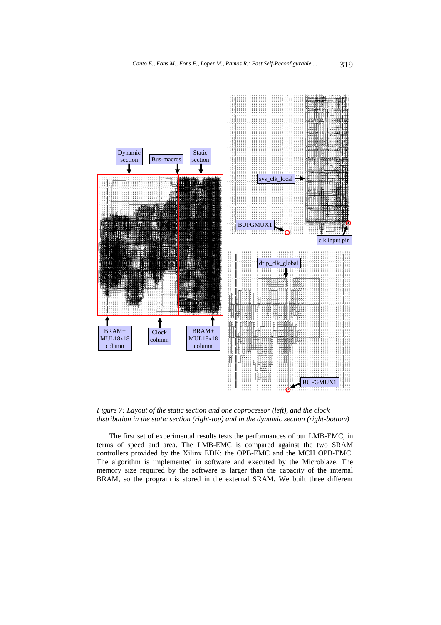

*Figure 7: Layout of the static section and one coprocessor (left), and the clock distribution in the static section (right-top) and in the dynamic section (right-bottom)* 

The first set of experimental results tests the performances of our LMB-EMC, in terms of speed and area. The LMB-EMC is compared against the two SRAM controllers provided by the Xilinx EDK: the OPB-EMC and the MCH OPB-EMC. The algorithm is implemented in software and executed by the Microblaze. The memory size required by the software is larger than the capacity of the internal BRAM, so the program is stored in the external SRAM. We built three different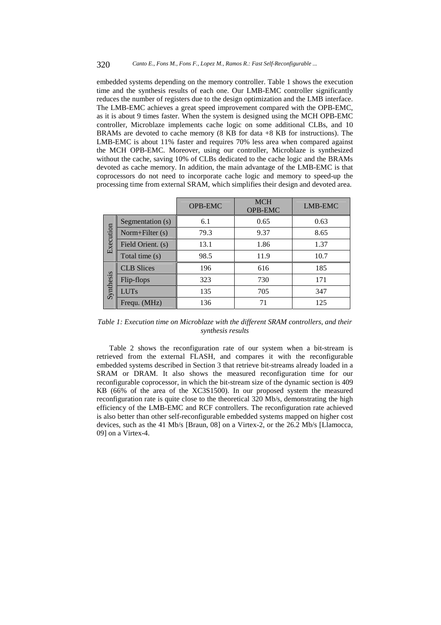embedded systems depending on the memory controller. Table 1 shows the execution time and the synthesis results of each one. Our LMB-EMC controller significantly reduces the number of registers due to the design optimization and the LMB interface. The LMB-EMC achieves a great speed improvement compared with the OPB-EMC, as it is about 9 times faster. When the system is designed using the MCH OPB-EMC controller, Microblaze implements cache logic on some additional CLBs, and 10 BRAMs are devoted to cache memory (8 KB for data +8 KB for instructions). The LMB-EMC is about 11% faster and requires 70% less area when compared against the MCH OPB-EMC. Moreover, using our controller, Microblaze is synthesized without the cache, saving 10% of CLBs dedicated to the cache logic and the BRAMs devoted as cache memory. In addition, the main advantage of the LMB-EMC is that coprocessors do not need to incorporate cache logic and memory to speed-up the processing time from external SRAM, which simplifies their design and devoted area.

|           |                   | <b>OPB-EMC</b> | <b>MCH</b><br><b>OPB-EMC</b> | LMB-EMC |
|-----------|-------------------|----------------|------------------------------|---------|
| Execution | Segmentation (s)  | 6.1            | 0.65                         | 0.63    |
|           | Norm+Filter $(s)$ | 79.3           | 9.37                         | 8.65    |
|           | Field Orient. (s) | 13.1           | 1.86                         | 1.37    |
|           | Total time (s)    | 98.5           | 11.9                         | 10.7    |
| Synthesis | <b>CLB</b> Slices | 196            | 616                          | 185     |
|           | Flip-flops        | 323            | 730                          | 171     |
|           | <b>LUTs</b>       | 135            | 705                          | 347     |
|           | Frequ. (MHz)      | 136            | 71                           | 125     |

*Table 1: Execution time on Microblaze with the different SRAM controllers, and their synthesis results* 

Table 2 shows the reconfiguration rate of our system when a bit-stream is retrieved from the external FLASH, and compares it with the reconfigurable embedded systems described in Section 3 that retrieve bit-streams already loaded in a SRAM or DRAM. It also shows the measured reconfiguration time for our reconfigurable coprocessor, in which the bit-stream size of the dynamic section is 409 KB (66% of the area of the XC3S1500). In our proposed system the measured reconfiguration rate is quite close to the theoretical 320 Mb/s, demonstrating the high efficiency of the LMB-EMC and RCF controllers. The reconfiguration rate achieved is also better than other self-reconfigurable embedded systems mapped on higher cost devices, such as the 41 Mb/s [Braun, 08] on a Virtex-2, or the 26.2 Mb/s [Llamocca, 09] on a Virtex-4.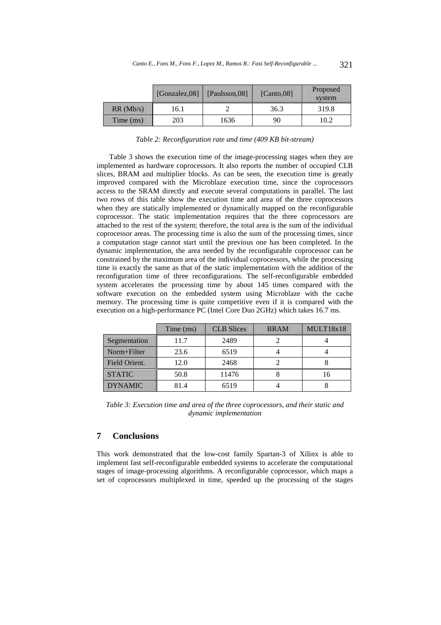|           | [Gonzalez,08] | [Paulsson,08] | $[{\rm Canto,08}]$ | Proposed<br>system |
|-----------|---------------|---------------|--------------------|--------------------|
| RR(Mb/s)  | 16.1          |               | 36.3               | 319.8              |
| Time (ms) | 203           | 1636          | 90                 | 10.2               |

*Table 2: Reconfiguration rate and time (409 KB bit-stream)* 

Table 3 shows the execution time of the image-processing stages when they are implemented as hardware coprocessors. It also reports the number of occupied CLB slices, BRAM and multiplier blocks. As can be seen, the execution time is greatly improved compared with the Microblaze execution time, since the coprocessors access to the SRAM directly and execute several computations in parallel. The last two rows of this table show the execution time and area of the three coprocessors when they are statically implemented or dynamically mapped on the reconfigurable coprocessor. The static implementation requires that the three coprocessors are attached to the rest of the system; therefore, the total area is the sum of the individual coprocessor areas. The processing time is also the sum of the processing times, since a computation stage cannot start until the previous one has been completed. In the dynamic implementation, the area needed by the reconfigurable coprocessor can be constrained by the maximum area of the individual coprocessors, while the processing time is exactly the same as that of the static implementation with the addition of the reconfiguration time of three reconfigurations. The self-reconfigurable embedded system accelerates the processing time by about 145 times compared with the software execution on the embedded system using Microblaze with the cache memory. The processing time is quite competitive even if it is compared with the execution on a high-performance PC (Intel Core Duo 2GHz) which takes 16.7 ms.

|                | Time (ms) | <b>CLB</b> Slices | <b>BRAM</b> | MULT18x18 |
|----------------|-----------|-------------------|-------------|-----------|
| Segmentation   | 11.7      | 2489              |             |           |
| Norm+Filter    | 23.6      | 6519              |             |           |
| Field Orient.  | 12.0      | 2468              |             |           |
| <b>STATIC</b>  | 50.8      | 11476             |             | 16        |
| <b>DYNAMIC</b> | 81.4      | 6519              |             |           |

*Table 3: Execution time and area of the three coprocessors, and their static and dynamic implementation* 

### **7 Conclusions**

This work demonstrated that the low-cost family Spartan-3 of Xilinx is able to implement fast self-reconfigurable embedded systems to accelerate the computational stages of image-processing algorithms. A reconfigurable coprocessor, which maps a set of coprocessors multiplexed in time, speeded up the processing of the stages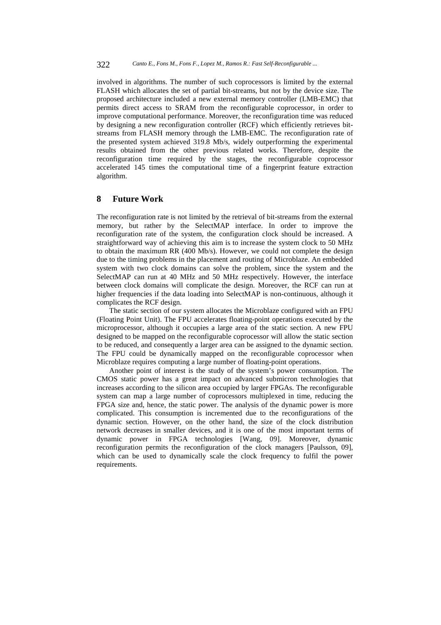involved in algorithms. The number of such coprocessors is limited by the external FLASH which allocates the set of partial bit-streams, but not by the device size. The proposed architecture included a new external memory controller (LMB-EMC) that permits direct access to SRAM from the reconfigurable coprocessor, in order to improve computational performance. Moreover, the reconfiguration time was reduced by designing a new reconfiguration controller (RCF) which efficiently retrieves bitstreams from FLASH memory through the LMB-EMC. The reconfiguration rate of the presented system achieved 319.8 Mb/s, widely outperforming the experimental results obtained from the other previous related works. Therefore, despite the reconfiguration time required by the stages, the reconfigurable coprocessor accelerated 145 times the computational time of a fingerprint feature extraction algorithm.

## **8 Future Work**

The reconfiguration rate is not limited by the retrieval of bit-streams from the external memory, but rather by the SelectMAP interface. In order to improve the reconfiguration rate of the system, the configuration clock should be increased. A straightforward way of achieving this aim is to increase the system clock to 50 MHz to obtain the maximum RR (400 Mb/s). However, we could not complete the design due to the timing problems in the placement and routing of Microblaze. An embedded system with two clock domains can solve the problem, since the system and the SelectMAP can run at 40 MHz and 50 MHz respectively. However, the interface between clock domains will complicate the design. Moreover, the RCF can run at higher frequencies if the data loading into SelectMAP is non-continuous, although it complicates the RCF design.

The static section of our system allocates the Microblaze configured with an FPU (Floating Point Unit). The FPU accelerates floating-point operations executed by the microprocessor, although it occupies a large area of the static section. A new FPU designed to be mapped on the reconfigurable coprocessor will allow the static section to be reduced, and consequently a larger area can be assigned to the dynamic section. The FPU could be dynamically mapped on the reconfigurable coprocessor when Microblaze requires computing a large number of floating-point operations.

Another point of interest is the study of the system's power consumption. The CMOS static power has a great impact on advanced submicron technologies that increases according to the silicon area occupied by larger FPGAs. The reconfigurable system can map a large number of coprocessors multiplexed in time, reducing the FPGA size and, hence, the static power. The analysis of the dynamic power is more complicated. This consumption is incremented due to the reconfigurations of the dynamic section. However, on the other hand, the size of the clock distribution network decreases in smaller devices, and it is one of the most important terms of dynamic power in FPGA technologies [Wang, 09]. Moreover, dynamic reconfiguration permits the reconfiguration of the clock managers [Paulsson, 09], which can be used to dynamically scale the clock frequency to fulfil the power requirements.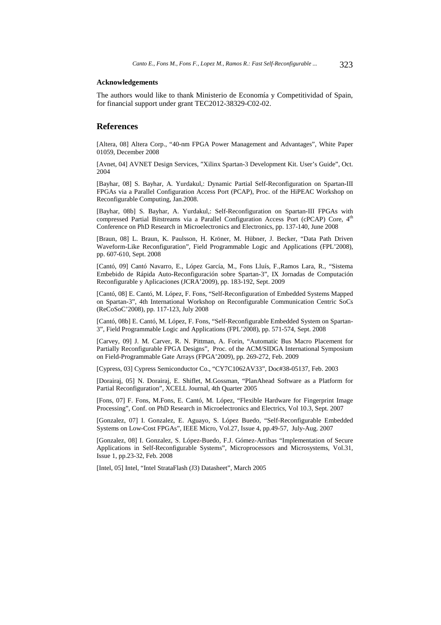#### **Acknowledgements**

The authors would like to thank Ministerio de Economía y Competitividad of Spain, for financial support under grant TEC2012-38329-C02-02.

#### **References**

[Altera, 08] Altera Corp., "40-nm FPGA Power Management and Advantages", White Paper 01059, December 2008

[Avnet, 04] AVNET Design Services, "Xilinx Spartan-3 Development Kit. User's Guide", Oct. 2004

[Bayhar, 08] S. Bayhar, A. Yurdakul,: Dynamic Partial Self-Reconfiguration on Spartan-III FPGAs via a Parallel Configuration Access Port (PCAP), Proc. of the HiPEAC Workshop on Reconfigurable Computing, Jan.2008.

[Bayhar, 08b] S. Bayhar, A. Yurdakul,: Self-Reconfiguration on Spartan-III FPGAs with compressed Partial Bitstreams via a Parallel Configuration Access Port (cPCAP) Core, 4<sup>th</sup> Conference on PhD Research in Microelectronics and Electronics, pp. 137-140, June 2008

[Braun, 08] L. Braun, K. Paulsson, H. Kröner, M. Hübner, J. Becker, "Data Path Driven Waveform-Like Reconfiguration", Field Programmable Logic and Applications (FPL'2008), pp. 607-610, Sept. 2008

[Cantó, 09] Cantó Navarro, E., López García, M., Fons Lluís, F.,Ramos Lara, R., "Sistema Embebido de Rápida Auto-Reconfiguración sobre Spartan-3", IX Jornadas de Computación Reconfigurable y Aplicaciones (JCRA'2009), pp. 183-192, Sept. 2009

[Cantó, 08] E. Cantó, M. López, F. Fons, "Self-Reconfiguration of Embedded Systems Mapped on Spartan-3", 4th International Workshop on Reconfigurable Communication Centric SoCs (ReCoSoC'2008), pp. 117-123, July 2008

[Cantó, 08b] E. Cantó, M. López, F. Fons, "Self-Reconfigurable Embedded System on Spartan-3", Field Programmable Logic and Applications (FPL'2008), pp. 571-574, Sept. 2008

[Carvey, 09] J. M. Carver, R. N. Pittman, A. Forin, "Automatic Bus Macro Placement for Partially Reconfigurable FPGA Designs", Proc. of the ACM/SIDGA International Symposium on Field-Programmable Gate Arrays (FPGA'2009), pp. 269-272, Feb. 2009

[Cypress, 03] Cypress Semiconductor Co., "CY7C1062AV33", Doc#38-05137, Feb. 2003

[Dorairaj, 05] N. Dorairaj, E. Shiflet, M.Gossman, "PlanAhead Software as a Platform for Partial Reconfiguration", XCELL Journal, 4th Quarter 2005

[Fons, 07] F. Fons, M.Fons, E. Cantó, M. López, "Flexible Hardware for Fingerprint Image Processing", Conf. on PhD Research in Microelectronics and Electrics, Vol 10.3, Sept. 2007

[Gonzalez, 07] I. Gonzalez, E. Aguayo, S. López Buedo, "Self-Reconfigurable Embedded Systems on Low-Cost FPGAs", IEEE Micro, Vol.27, Issue 4, pp.49-57, July-Aug. 2007

[Gonzalez, 08] I. Gonzalez, S. López-Buedo, F.J. Gómez-Arribas "Implementation of Secure Applications in Self-Reconfigurable Systems", Microprocessors and Microsystems, Vol.31, Issue 1, pp.23-32, Feb. 2008

[Intel, 05] Intel, "Intel StrataFlash (J3) Datasheet", March 2005